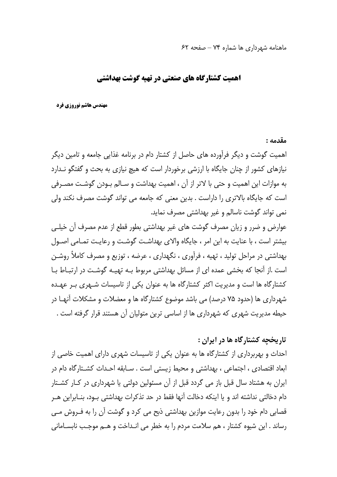ماهنامه شهرداری ها شماره ۷۴ – صفحه ۶۲

### **اهمیت کشتارگاه های صنعتی در تهیه گوشت بهداشتی**

#### مهندس هاشم نوروزي فرد

#### مقدمه :

اهمیت گوشت و دیگر فرآورده های حاصل از کشتار دام در برنامه غذایی جامعه و تامین دیگر نیازهای کشور از چنان جایگاه با ارزشی برخوردار است که هیچ نیازی به بحث و گفتگو نـدارد به موازات این اهمیت و حتی با لاتر از آن ، اهمیت بهداشت و سـالم بـودن گوشـت مصـرفی است که جایگاه بالاتری را داراست . بدین معنی که جامعه می تواند گوشت مصرف نکند ولی نمي تواند گوشت ناسالم و غير بهداشتي مصرف نمايد.

عوارض و ضرر و زیان مصرف گوشت های غیر بهداشتی بطور قطع از عدم مصرف آن خیلـی بیشتر است ، با عنایت به این امر ، جایگاه والای بهداشت گوشت و رعایت تمـامی اصـول بهداشتی در مراحل تولید ، تهیه ، فرآوری ، نگهداری ، عرضه ، توزیع و مصرف کاملأ روشـن است .از آنجا که بخشی عمده ای از مسائل بهداشتی مربوط بـه تهیـه گوشـت در ارتبـاط بـا کشتارگاه ها است و مدیریت اکثر کشتارگاه ها به عنوان یکی از تاسیسات شـهری بـر عهـده شهرداری ها (حدود ۷۵ درصد) می باشد موضوع کشتارگاه ها و معضلات و مشکلات آنهـا در حیطه مدیریت شهری که شهرداری ها از اساسی ترین متولیان آن هستند قرار گرفته است .

تاريخچه كشتارگاه ها در ايران :

احداث و بهربرداری از کشتارگاه ها به عنوان یکی از تاسیسات شهری دارای اهمیت خاصی از ابعاد اقتصادی ، احتماعی ، بهداشتی و محیط زیستی است . سـابقه احـداث کشـتارگاه دام در ایران به هشتاد سال قبل باز می گردد قبل از آن مسئولین دولتی یا شهرداری در کـار کشــتار دام دخالتی نداشته اند و یا اینکه دخالت آنها فقط در حد تذکرات بهداشتی بـود، بنـابراین هـر قصابی دام خود را بدون رعایت موازین بهداشتی ذبح می کرد و گوشت آن را به فـروش مـی رساند . این شیوه کشتار ، هم سلامت مردم را به خطر می انـداخت و هــم موجـب نابسـامانی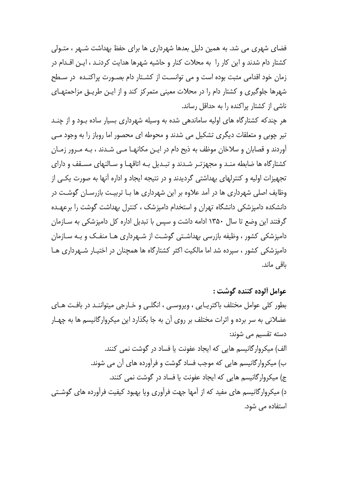فضای شهری می شد. به همین دلیل بعدها شهرداری ها برای حفظ بهداشت شـهر ، متـولی کشتار دام شدند و این کار را به محلات کنار و حاشیه شهرها هدایت کردنـد ، ایـن اقـدام در زمان خود اقدامی مثبت بوده است و می توانسـت از کشـتار دام بصـورت پراکنـده در سـطح شهرها جلوگیری و کشتار دام را در محلات معینی متمرکز کند و از ایـن طریـق مزاحمتهـای ناشی از کشتار پراکنده را به حداقل رساند.

هر چندکه کشتارگاه های اولیه ساماندهی شده به وسیله شهرداری بسیار ساده بود و از چنـد تیر چوبی و متعلقات دیگری تشکیل می شدند و محوطه ای محصور اما روباز را به وجود مــی آوردند و قصابان و سلاخان موظف به ذبح دام در ایـن مکانهـا مـی شـدند ، بـه مـرور زمـان کشتارگاه ها ضابطه منـد و مجهزتـر شـدند و تبـدیل بـه اتاقهـا و سـالنهای مسـقف و دارای تجهیزات اولیه و کنترلهای بهداشتی گردیدند و در نتیجه ایجاد و اداره آنها به صورت یکی از وظایف اصلی شهرداری ها در آمد علاوه بر این شهرداری ها بـا تربیـت بازرسـان گوشـت در دانشکده دامیزشکی دانشگاه تهران و استخدام دامیزشک ، کنترل بهداشت گوشت را برعهـده گرفتند این وضع تا سال ۱۳۵۰ ادامه داشت و سپس با تبدیل اداره کل دامیزشکی به سـازمان دامپزشکی کشور ، وظیفه بازرسی بهداشتی گوشت از شـهرداری هـا منفـک و بـه سـازمان دامیزشکی کشور ، سیرده شد اما مالکیت اکثر کشتارگاه ها همچنان در اختیـار شـهرداری هـا باقی ماند.

#### عوامل ألوده كننده گوشت :

بطور کلی عوامل مختلف باکتریـایی ، ویروسـی ، انگلـی و خـارجی میتواننـد در بافـت هـای عضلانی به سر برده و اثرات مختلف بر روی آن به جا بگذارد این میکروارگانیسم ها به چهـار دسته تقسیم مے شوند:

الف) میکروار گانیسم هایی که ایجاد عفونت یا فساد در گوشت نمی کنند. ب) میکروارگانیسم هایی که موجب فساد گوشت و فرآورده های آن می شوند. ج) میکروارگانیسم هایی که ایجاد عفونت یا فساد در گوشت نمی کنند. د) میکروارگانیسم های مفید که از آمها جهت فرآوری ویا بهبود کیفیت فرآورده های گوشـتی استفادہ مے شود.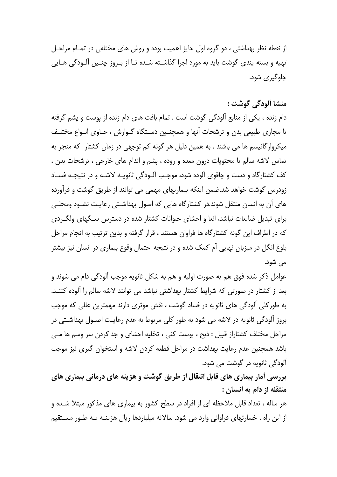از نقطه نظر بهداشتی ، دو گروه اول حایز اهمیت بوده و روش های مختلفی در تمـام مراحـل تهیه و بسته یندی گوشت باید به مورد اجرا گذاشـته شـده تـا از بـروز چنـین آلـودگی هـایی حلو *گی*ری شود.

# منشا ألودگي گوشت :

دام زنده ، یکی از منابع آلودگی گوشت است . تمام بافت های دام زنده از پوست و پشم گرفته تا مجاری طبیعی بدن و ترشحات آنها و همچنـین دسـتگاه گـوارش ، حـاوی انـواع مختلـف میکروارگانیسم ها می باشند . به همین دلیل هر گونه کم توجهی در زمان کشتار که منجر به تماس لاشه سالم با محتويات درون معده و روده ، پشم و اندام هاي خارجي ، ترشحات بدن ، کف کشتارگاه و دست و چاقوی آلوده شود، موجب آلـودگی ثانویـه لاشـه و در نتیجـه فسـاد زودرس گوشت خواهد شد.ضمن اینکه بیماریهای مهمی می توانند از طریق گوشت و فرآورده های آن به انسان منتقل شوند.در کشتارگاه هایی که اصول بهداشـتی رعایـت نشـود ومحلـی برای تبدیل ضایعات نباشد، انعا و احشای حیوانات کشتار شده در دسترس سگهای ولگردی که در اطراف این گونه کشتارگاه ها فراوان هستند ، قرار گرفته و بدین ترتیب به انجام مراحل بلوغ انگل در میزبان نهایی آم کمک شده و در نتیجه احتمال وقوع بیماری در انسان نیز بیشتر مے , شود.

عوامل ذکر شده فوق هم به صورت اوليه و هم به شکل ثانويه موجب آلودگي دام مي شوند و بعد از کشتار در صورتی که شرایط کشتار بهداشتی نباشد می توانند لاشه سالم را آلوده کننـد. به طور کلی آلودگی های ثانویه در فساد گوشت ، نقش مؤثری دارند مهمترین عللی که موجب بروز آلودگی ثانویه در لاشه می شود به طور کلی مربوط به عدم رعایت اصـول بهداشـتی در مراحل مختلف کشتاراز قبیل : ذبح ، یوست کنی ، تخلیه احشای و جداکردن سر وسم ها مــی باشد همچنین عدم رعایت بهداشت در مراحل قطعه کردن لاشه و استخوان گیری نیز موجب آلودگی ثانویه در گوشت می شود.

بررسی آمار بیماری های قابل انتقال از طریق گوشت و هزینه های درمانی بیماری های منتقله از دام به انسان :

هر ساله ، تعداد قابل ملاحظه ای از افراد در سطح کشور به بیماری های مذکور مبتلا شـده و از این راه ، خسارتهای فراوانی وارد می شود. سالانه میلیاردها ریال هزینــه بــه طــور مســتقیم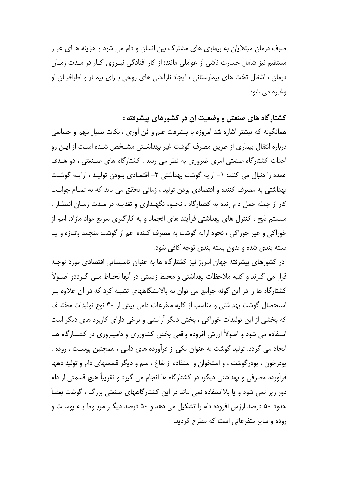صرف درمان مبتلایان به بیماری های مشترک بین انسان و دام می شود و هزینه هـای عیـر مستقیم نیز شامل خسارت ناشی از عواملی مانند: از کار افتادگی نیـروی کـار در مـدت زمـان درمان ، اشغال تخت های بیمارستانی ، ایجاد ناراحتی های روحی بـرای بیمـار و اطرافیـان او وغيره مي شود

کشتار گاه های صنعتی و وضعیت ان در کشورهای پیشرفته :

همانگونه که پیشتر اشاره شد امروزه با پیشرفت علم و فن آوری ، نکات بسیار مهم و حساسی درباره انتقال بیماری از طریق مصرف گوشت غیر بهداشـتی مشـخص شـده اسـت از ایـن رو احداث کشتارگاه صنعتی امری ضروری به نظر می رسد . کشتارگاه های صـنعتی ، دو هـدف عمده را دنبال می کنند: ١– ارایه گوشت بهداشتی ٢– اقتصادی بــودن تولیــد ، ارایــه گوشــت بهداشتی به مصرف کننده و اقتصادی بودن تولید ، زمانی تحقق می پاید که به تمـام جوانـب کار از جمله حمل دام زنده به کشتارگاه ، نحـوه نگهـداری و تغذیـه در مـدت زمـان انتظـار ، سیستم ذبح ، کنترل های بهداشتی فرآیند های انجماد و به کارگیری سریع مواد مازاد، اعم از خوراکی و غیر خوراکی ، نحوه ارایه گوشت به مصرف کننده اعم از گوشت منجمد وتـازه و یـا بسته بندی شده و بدون بسته بندی توجه کافی شود.

در کشورهای پیشرفته جهان امروز نیز کشتارگاه ها به عنوان تاسیساتی اقتصادی مورد توجـه قرار می گیرند و کلیه ملاحظات بهداشتی و محیط زیستی در آنها لحـاظ مـی گـرددو اصـولأ کشتارگاه ها را در این گونه جوامع می توان به پالایشگاههای تشبیه کرد که در آن علاوه ب استحصال گوشت بهداشتی و مناسب از کلیه متفرعات دامی بیش از ۴۰ نوع تولیدات مختلـف که بخشی از این تولیدات خوراکی ، بخش دیگر آرایشی و برخی دارای کاربرد های دیگر است استفاده می شود و اصولاً ارزش افزوده واقعی بخش کشاورزی و دامیـروری در کشـتارگاه هـا ایجاد می گردد. تولید گوشت به عنوان یکی از فرآورده های دامی ، همچنین پوست ، روده ، پودرخون ، پودرگوشت ، و استخوان و استفاده از شاخ ، سم و دیگر قسمتهای دام و تولید دهها فرآورده مصرفی و بهداشتی دیگر، در کشتارگاه ها انجام می گیرد و تقریباً هیچ قسمتی از دام دور ریز نمی شود و یا بلااستفاده نمی ماند در این کشتارگاههای صنعتی بزرگ ، گوشت بعضاً حدود ۵۰ درصد ارزش افزوده دام را تشکیل می دهد و ۵۰ درصد دیگـر مربـوط بـه پوسـت و روده و سایر متفرعاتی است که مطرح گردید.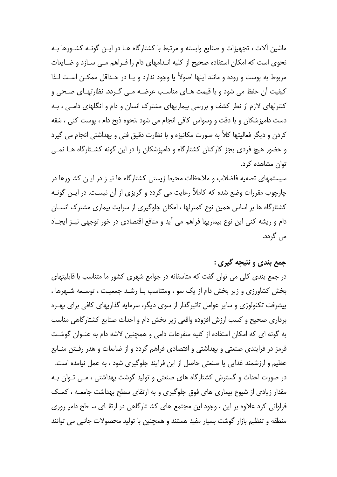ماشین آلات ، تجهیزات و صنایع وابسته و مرتبط با کشتارگاه هـا در ایـن گونـه کشـورها بـه نحوی است که امکان استفاده صحیح از کلیه انـدامهای دام را فـراهم مـی سـازد و ضـایعات مربوط به پوست و روده و مانند اینها اصولاً یا وجود ندارد و یـا در حـداقل ممکــن اســت لـذا کیفیت آن حفظ می شود و با قیمت هـای مناسـب عرضـه مـی گـردد. نظارتهـای صـحی و کنترلهای لازم از نطر کشف و بررسی بیماریهای مشترک انسان و دام و انگلهای دامـی ، بـه دست داميزشكان و با دقت و وسواس كافي انجام مي شود .نحوه ذبح دام ، يوست كني ، شقه کردن و دیگر فعالیتها کلاً به صورت مکانیزه و با نظارت دقیق فنی و بهداشتی انجام می گیرد و حضور هیچ فردی بجز کارکنان کشتارگاه و دامپزشکان را در این گونه کشـتارگاه هـا نمـی توان مشاهده کرد.

سیستمهای تصفیه فاضلاب و ملاحظات محیط زیستی کشتارگاه ها نیـز در ایـن کشـورها در چارچوب مقررات وضع شده که کاملاً رعایت می گردد و گریزی از آن نیست. در ایـن گونـه کشتارگاه ها بر اساس همین نوع کمترلها ، امکان جلوگیری از سرایت بیماری مشترک انســان دام و ریشه کنی این نوع بیماریها فراهم می آید و منافع اقتصادی در خور توجهی نیـز ایجـاد می گردد.

## جمع بندي و نتيجه گيري :

در جمع بندی کلی می توان گفت که متاسفانه در جوامع شهری کشور ما متناسب با قابلیتهای بخش کشاورزی و زیر بخش دام از یک سو ، ومتناسب بـا رشـد جمعیـت ، توسـعه شـهرها ، پیشرفت تکنولوژی و سایر عوامل تاثیرگذار از سوی دیگر، سرمایه گذاریهای کافی برای بهـره برداری صحیح و کسب ارزش افزوده واقعی زیر بخش دام و احداث صنایع کشتارگاهی مناسب به گونه ای که امکان استفاده از کلیه متفرعات دامی و همچنین لاشه دام به عنـوان گوشـت قرمز در فرایندی صنعتی و بهداشتی و اقتصادی فراهم گردد و از ضایعات و هدر رفـتن منــابع عظیم و ارزشمند غذایی یا صنعتی حاصل از این فرایند جلوگیری شود ، به عمل نیامده است. در صورت احداث و گسترش کشتارگاه های صنعتی و تولید گوشت بهداشتی ، مـی تـوان بـه مقدار زیادی از شیوع بیماری های فوق جلوگیری و به ارتقای سطح بهداشت جامعـه ، کمـک فراوانی کرد علاوه بر این ، وجود این مجتمع های کشـتارگاهی در ارتقـای سـطح دامیـروری منطقه و تنظیم بازار گوشت بسیار مفید هستند و همچنین با تولید محصولات جانبی می توانند